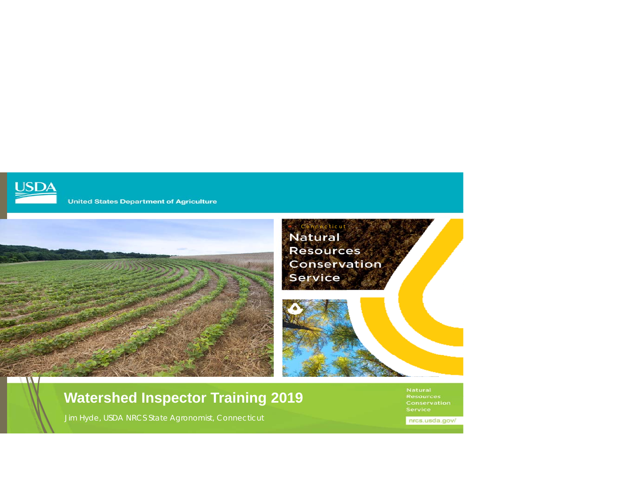

**United States Department of Agriculture** 



### **Watershed Inspector Training 2019**

Jim Hyde, USDA NRCS State Agronomist, Connecticut

nrcs.usda.gov/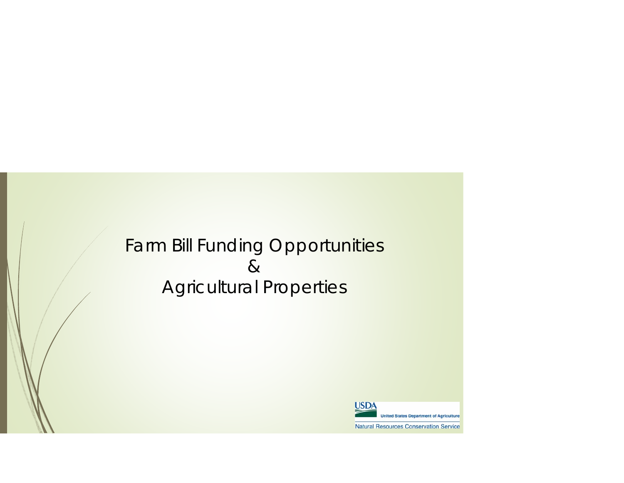# Farm Bill Funding Opportunities & Agricultural Properties

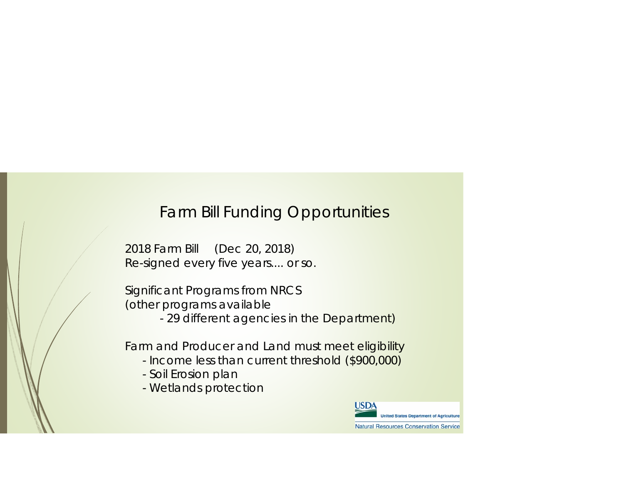### Farm Bill Funding Opportunities

2018 Farm Bill (Dec 20, 2018) Re-signed every five years.... or so.

Significant Programs from NRCS (other programs available

- 29 different agencies in the Department)

Farm and Producer and Land must meet eligibility

- Income less than current threshold (\$900,000)
- Soil Erosion plan
- Wetlands protection

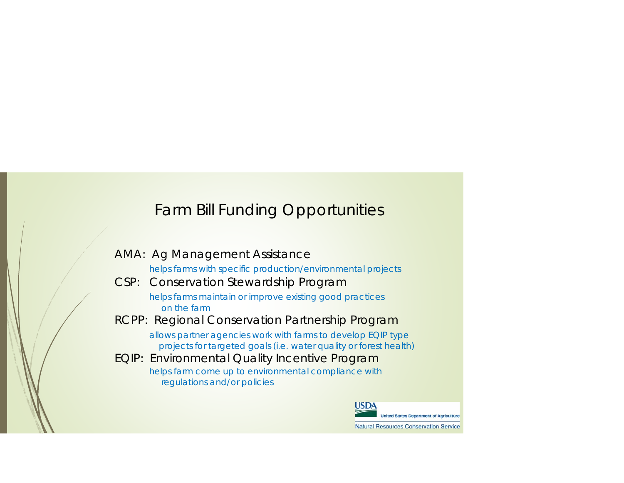## Farm Bill Funding Opportunities

| <b>AMA: Ag Management Assistance</b>                                                                                              |
|-----------------------------------------------------------------------------------------------------------------------------------|
| helps farms with specific production/environmental projects                                                                       |
| CSP: Conservation Stewardship Program                                                                                             |
| helps farms maintain or improve existing good practices<br>on the farm                                                            |
| RCPP: Regional Conservation Partnership Program                                                                                   |
| allows partner agencies work with farms to develop EQIP type<br>projects for targeted goals (i.e. water quality or forest health) |
| EQIP: Environmental Quality Incentive Program                                                                                     |
| helps farm come up to environmental compliance with<br>regulations and/or policies                                                |
| IICDA                                                                                                                             |

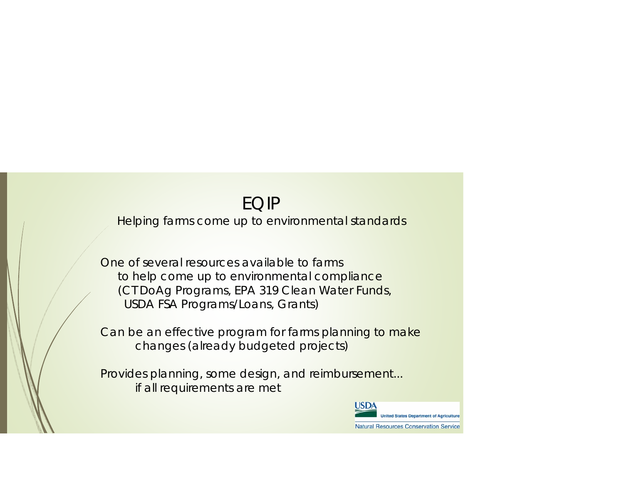# EQIP

Helping farms come up to environmental standards

One of several resources available to farms to help come up to environmental compliance (CT DoAg Programs, EPA 319 Clean Water Funds, USDA FSA Programs/Loans, Grants)

Can be an effective program for farms planning to make changes (already budgeted projects)

Provides planning, some design, and reimbursement... if all requirements are met

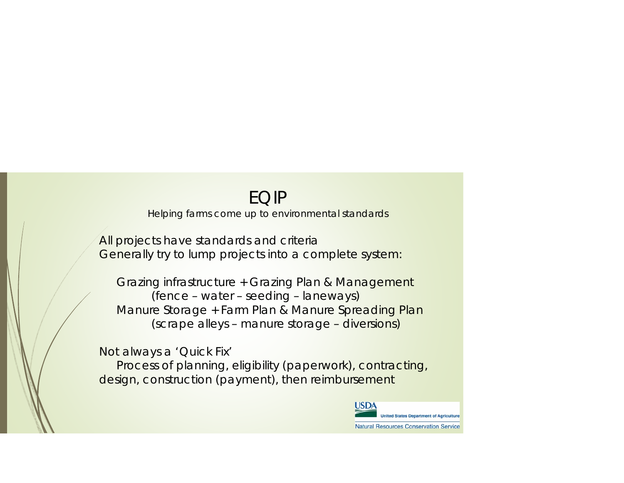## EQIP

Helping farms come up to environmental standards

All projects have standards and criteria Generally try to lump projects into a complete system:

Grazing infrastructure + Grazing Plan & Management (fence – water – seeding – laneways) Manure Storage + Farm Plan & Manure Spreading Plan (scrape alleys – manure storage – diversions)

Not always a 'Quick Fix' Process of planning, eligibility (paperwork), contracting, design, construction (payment), then reimbursement

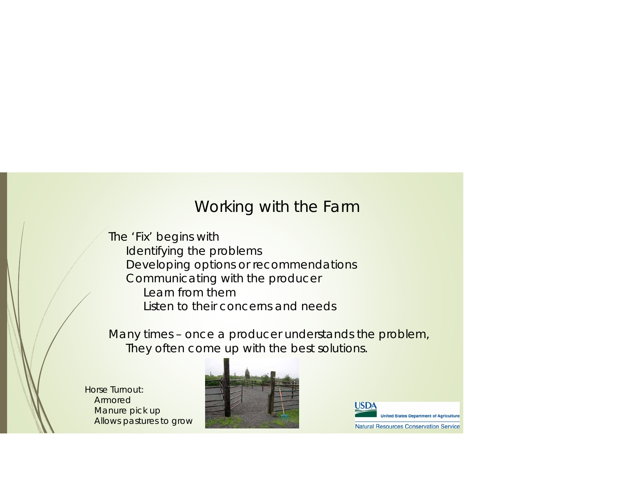### Working with the Farm

The 'Fix' begins with Identifying the problems Developing options or recommendations Communicating with the producer Learn from themListen to their concerns and needs

Many times – once a producer understands the problem, They often come up with the best solutions.

Horse Turnout: ArmoredManure pick up Allows pastures to grow



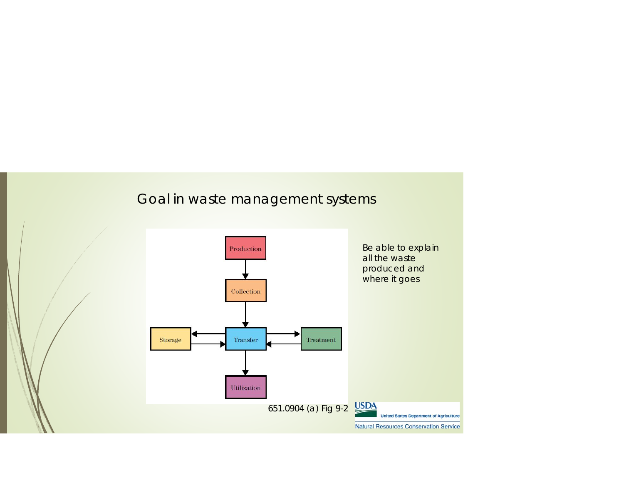### Goal in waste management systems

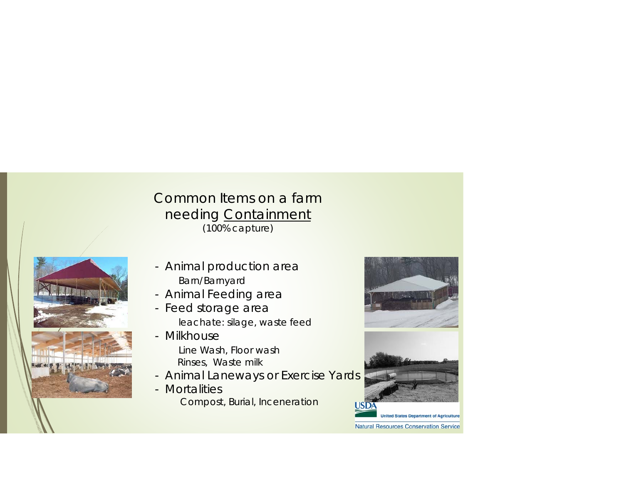#### Common Items on a farm needing <u>Containment</u> (100% capture)



- Animal production area Barn/Barnyard
- Animal Feeding area
- Feed storage area leachate: silage, waste feed
- MilkhouseLine Wash, Floor wash Rinses, Waste milk
- Animal Laneways or Exercise Yards
- MortalitiesCompost, Burial, Inceneration



**Natural Resources Conservation Service**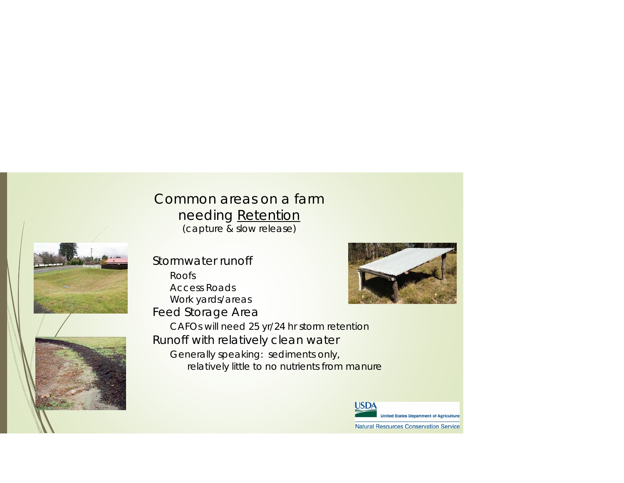#### Common areas on a farmneeding <u>Retention</u> (capture & slow release)



Stormwater runoffRoofsAccess RoadsWork yards/areas Feed Storage Area



CAFOs will need 25 yr/24 hr storm retention Runoff with relatively clean water Generally speaking: sediments only, relatively little to no nutrients from manure

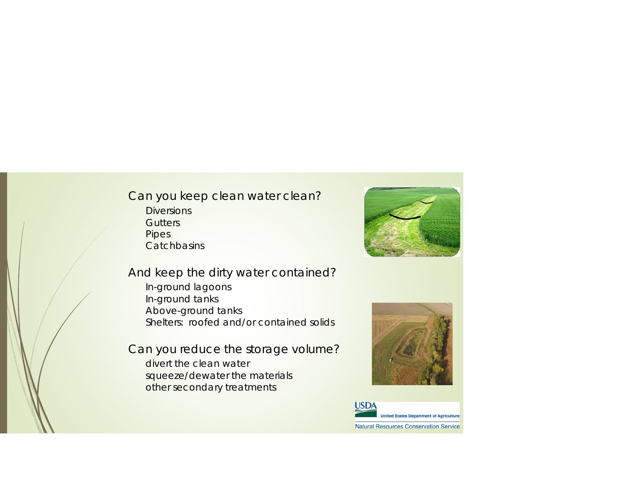#### Can you keep clean water clean? **Diversions Gutters** Pipes **Catchbasins**



#### And keep the dirty water contained?

In-ground lagoons In-ground tanks Above-ground tanks Shelters: roofed and/or contained solids

Can you reduce the storage volume? divert the clean water squeeze/dewater the materials other secondary treatments



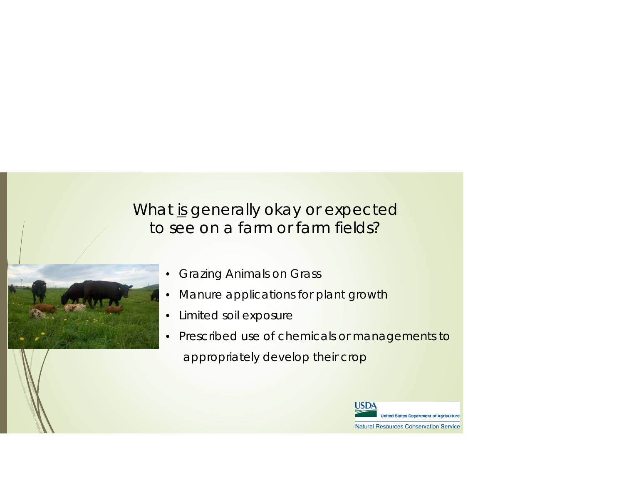## What is generally okay or expected to see on a farm or farm fields?

- Grazing Animals on Grass
- Manure applications for plant growth
- Limited soil exposure
- Prescribed use of chemicals or managements to appropriately develop their crop

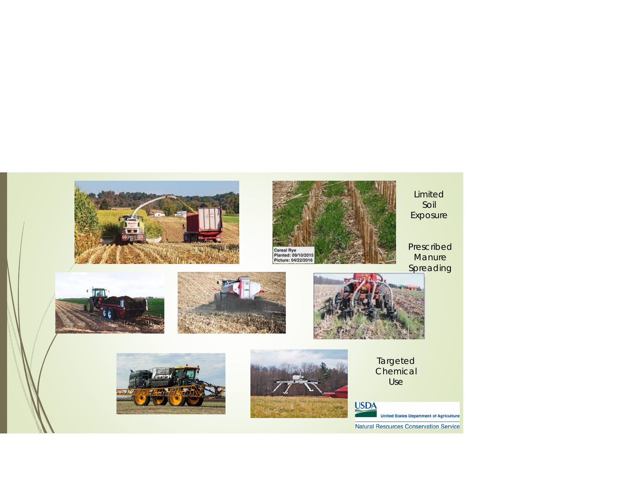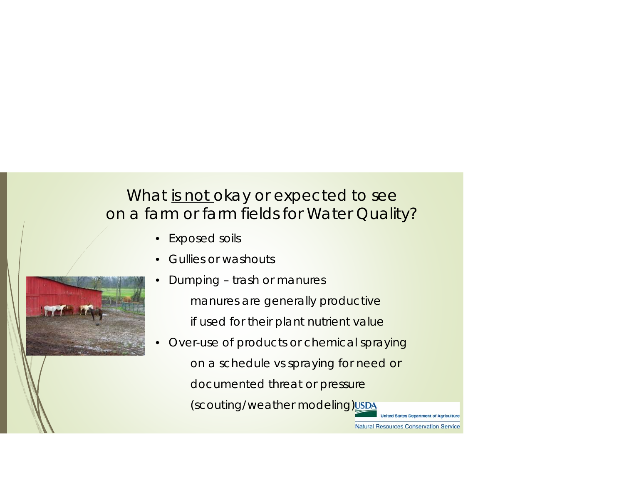## What is not okay or expected to see on a farm or farm fields for Water Quality?

- Exposed soils
- • Gullies or washouts
	- Dumping trash or manures manures are generally productive if used for their plant nutrient value
- Over-use of products or chemical spraying on a schedule vs spraying for need or documented threat or pressure (scouting/weather modeling)

ited States Department of Agricultur

**Natural Resources Conservation Service** 

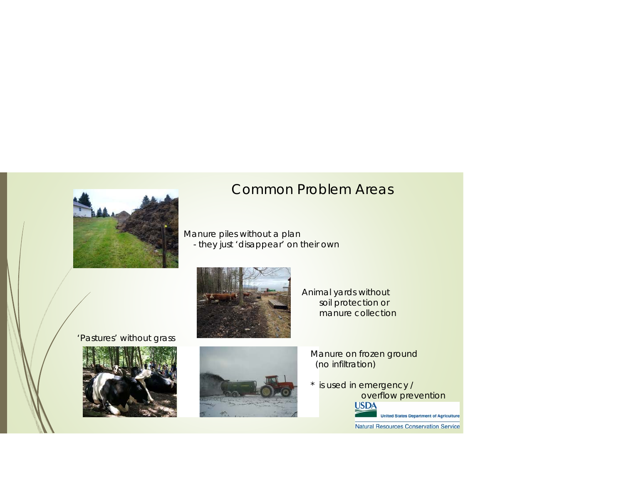

### Common Problem Areas

Manure piles without a plan - they just 'disappear' on their own



Animal yards without soil protection or manure collection

'Pastures' without grass





Manure on frozen ground (no infiltration)

\* is used in emergency / overflow prevention<br>USDA

**United States Department of Agriculture** Natural Resources Conservation Service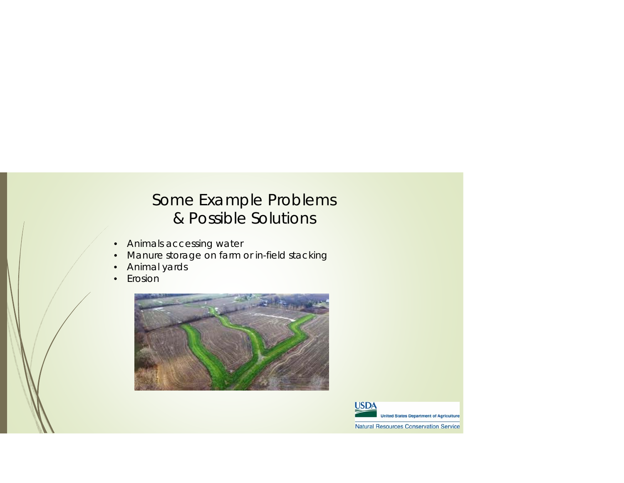## Some Example Problems & Possible Solutions

- $\bullet$ Animals accessing water
- •Manure storage on farm or in-field stacking
- •Animal yards
- •Erosion



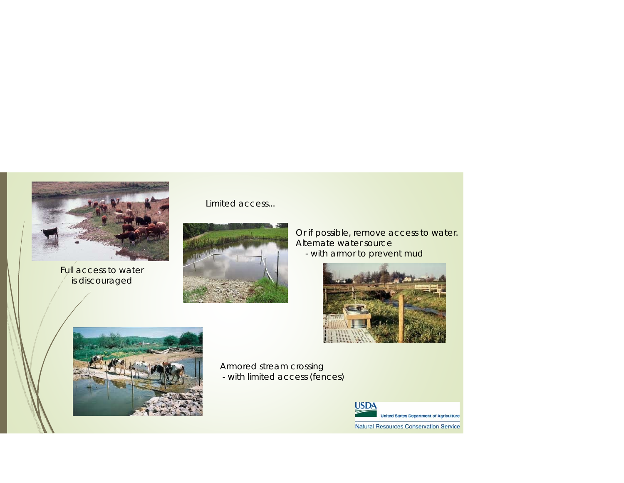

Full access to water is discouraged

Limited access...



Or if possible, remove access to water. Alternate water source - with armor to prevent muc





Armored stream crossing - with limited access (fences)

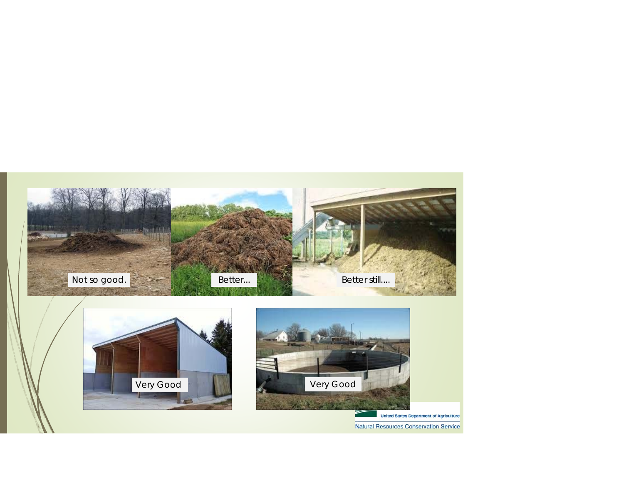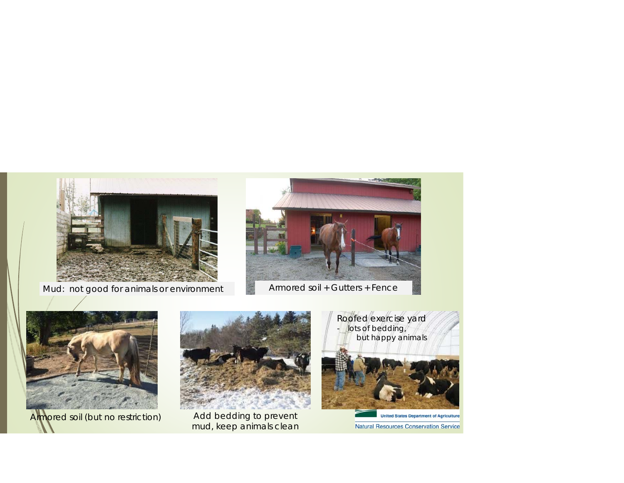



Armored soil (but no restriction)



Add bedding to prevent<br>mud, keep animals clean



**United States Department of Agriculture** Natural Resources Conservation Service